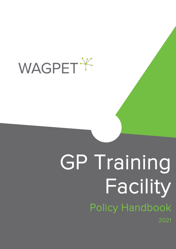

TRAINING

FACILITYOLICYBOO

# This document is intended for electronic use. Information may be out of date if referring to a printed version GP Training Facility<br>Policy Handbook 2021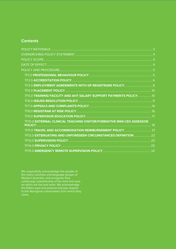# **Contents**

| TF5.0 TRAINING FACILITY AND AHT SALARY SUPPORT PAYMENTS POLICY 10     |  |
|-----------------------------------------------------------------------|--|
|                                                                       |  |
|                                                                       |  |
|                                                                       |  |
|                                                                       |  |
| TF10.0 EXTERNAL CLINICAL TEACHING VISITOR/FORMATIVE MINI-CEX ASSESSOR |  |
|                                                                       |  |
| TF12.0 EXTENUATING AND UNFORESEEN CIRCUMSTANCES DEFINITION  23        |  |
|                                                                       |  |
|                                                                       |  |
|                                                                       |  |

We respectfully acknowledge the people of the many countries and language groups of Western Australia, and recognise their continuing custodianship of the land and seas on which we live and work. We acknowledge the Elders past and present and pay respect to the Aboriginal communities from which they come.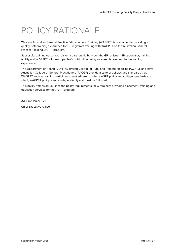# <span id="page-2-0"></span>POLICY RATIONALE

Western Australian General Practice Education and Training (WAGPET) is committed to providing a quality, safe training experience for GP registrars training with WAGPET on the Australian General Practice Training (AGPT) program.

Successful training outcomes rely on a partnership between the GP registrar, GP supervisor, training facility and WAGPET, with each parties' contribution being an essential element to the training experience.

The Department of Health (DOH), Australian College of Rural and Remote Medicine (ACRRM) and Royal Australian College of General Practitioners (RACGP) provide a suite of policies and standards that WAGPET and our training participants must adhere to. Where AGPT policy and college standards are silent, WAGPET policy stands independently and must be followed.

This policy framework outlines the policy requirements for GP trainers providing placement, training and education services for the AGPT program.

Adj Prof Janice Bell Chief Executive Officer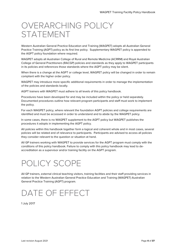# <span id="page-3-0"></span>OVERARCHING POLICY STATEMENT

Western Australian General Practice Education and Training (WAGPET) adopts all Australian General Practice Training (AGPT) policy as its first line policy. Supplementary WAGPET policy is appended to the AGPT policy foundation where required.

WAGPET adopts all Australian College of Rural and Remote Medicine (ACRRM) and Royal Australian College of General Practitioners (RACGP) policies and standards as they apply to WAGPET participants in its policies and references those standards where the AGPT policy may be silent.

When there is a change at the AGPT or college level, WAGPET policy will be changed in order to remain compliant with the higher order policy.

WAGPET may introduce more specific additional requirements in order to manage the implementation of the policies and standards locally.

AGPT trainers with WAGPET must adhere to all levels of this policy handbook.

Procedures have been developed for and may be included within the policy or held separately. Documented procedures outline how relevant program participants and staff must work to implement the policy.

For each WAGPET policy, where relevant the foundation AGPT policies and college requirements are identified and must be accessed in order to understand and to abide by the WAGPET policy.

In some cases, there is no WAGPET supplement to the AGPT policy but WAGPET publishes the procedures it adopts in implementing the AGPT policy.

All policies within this handbook together form a logical and coherent whole and in most cases, several policies will be related and of relevance to participants. Participants are advised to access all policies they consider relevant to the question or situation at hand.

All GP trainers working with WAGPET to provide services for the AGPT program must comply with the conditions of this policy handbook. Failure to comply with this policy handbook may lead to deaccreditation as a supervisor and/or training facility on the AGPT program.

# <span id="page-3-1"></span>POLICY SCOPE

All GP trainers, external clinical teaching visitors, training facilities and their staff providing services in relation to the Western Australian General Practice Education and Training (WAGPET) Australian General Practice Training (AGPT) program.

# <span id="page-3-2"></span>DATE OF EFFECT

1 July 2017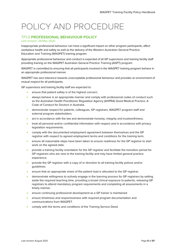# <span id="page-4-0"></span>POLICY AND PROCEDURE

# <span id="page-4-1"></span>TF1.0 **PROFESSIONAL BEHAVIOUR POLICY**

# Last revision: 28 May 2020

Inappropriate professional behaviour can have a significant impact on other program participants, affect workplace health and safety as well as the delivery of the Western Australian General Practice Education and Training (WAGPET) training program.

Appropriate professional behaviour and conduct is expected of all GP supervisors and training facility staff providing training on the WAGPET Australian General Practice Training (AGPT) program.

WAGPET is committed to ensuring that all participants involved in the WAGPET training program behave in an appropriate professional manner.

WAGPET has zero tolerance towards unacceptable professional behaviour and provides an environment of mutual respect for all participants.

GP supervisors and training facility staff are expected to:

- ensure that patient safety is of the highest concern.
- always behave in an appropriate manner and comply with professional codes of conduct such as the Australian Health Practitioner Regulation Agency (AHPRA) Good Medical Practice: A Code of Conduct for Doctors in Australia.
- demonstrate respect for patients, colleagues, GP registrars, WAGPET program staff and external program stakeholders.
- act in accordance with the law and demonstrate honesty, integrity and trustworthiness.
- treat all personal and/or confidential information with respect and in accordance with privacy legislation requirements.
- comply with the documented employment agreement between themselves and the GP registrar with respect to agreed employment terms and conditions for the training term.
- ensure all reasonable steps have been taken to ensure readiness for the GP registrar to start work on the agreed date.
- provide a training facility orientation for the GP registrar and facilitate the transition period for GP registrars who are new to the training facility and may have limited general practice experience.
- provide the GP registrar with a copy of or direction to all training facility polices and/or guidelines.
- ensure that an appropriate share of the patient load is allocated to the GP registrar.
- demonstrate willingness to actively engage in the learning process for GP registrars by setting aside the required teaching time, providing a broad clinical exposure to patients, releasing GP registrars to attend mandatory program requirements and completing all assessments in a timely manner.
- ensure continuing professional development as a GP trainer is maintained
- ensure timeliness and responsiveness with required program documentation and communications from WAGPET.
- comply with the terms and conditions of the Training Service Deed.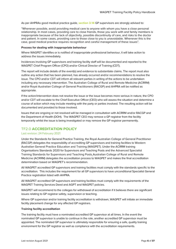As per AHPRAs good medical practice guide, **[section 3.14](https://www.medicalboard.gov.au/Codes-Guidelines-Policies/Code-of-conduct.aspx#:%7E:text=It%20sets%20out%20the%20principles,medical%20profession%20and%20the%20community.)** GP supervisors are strongly advised to:

"Whenever possible, avoid providing medical care to anyone with whom you have a close personal relationship. In most cases, providing care to close friends, those you work with and family members is inappropriate because of the lack of objectivity, possible discontinuity of care, and risks to the doctor and patient. In some cases, providing care to those close to you is unavoidable. Whenever this is the case, good medical practice requires recognition and careful management of these issues".

# **Process for dealing with inappropriate behaviour**

Where WAGPET identifies or is notified of inappropriate professional behaviour, it will take action to address the issues immediately.

Incidences involving GP supervisors and training facility staff will be documented and reported to the WAGPET Chief Program Officer (CPO) and/or Clinical Director of Training (CDT).

The report will include details of the event(s) and evidence to substantiate claims. The report must also outline any action that has been planned, has already occurred and/or recommendations to resolve the issue. The CPO and/or CDT will inform all relevant parties in writing of the actions to be undertaken including any necessary intervention. The Australian College of Rural and Remote Medicine (ACRRM) and/or Royal Australian College of General Practitioners (RACGP) and AHPRA will be notified as appropriate.

If the action/intervention does not resolve the issue or the issue becomes more serious in nature, the CPO and/or CDT will escalate to the Chief Executive Officer (CEO) who will assess the situation and determine a course of action which may include meeting with the party or parties involved. The resulting action will be documented and provided to those involved.

Issues that are ongoing or not resolved will be managed in consultation with ACRRM and/or RACGP and the Department of Health (DOH). The WAGPET CEO may remove a GP registrar from the facility temporarily whilst the issue is being investigated or may remove the GP registrar permanently.

# <span id="page-5-0"></span>TF2.0 **ACCREDITATION POLICY**

# Last revision: 24 February 2021

Under the Standards for General Practice Training, the Royal Australian College of General Practitioner (RACGP) delegates the responsibility of accrediting GP supervisors and training facilities to Western Australian General Practice Education and Training (WAGPET). Under the ACRRM training Organisations Standards 2020 for Supervisors and Teaching Posts and the Advanced Specialist Training Standards for Supervisors and Teaching Posts Australian College of Rural and Remote Medicine (ACRRM) delegates the accreditation process to WAGPET and makes the final accreditation determination based on WAGPET's recommendation.

All WAGPET accredited GP supervisors and training facilities must comply with the standards specific to the accreditation. This includes the requirement for all GP supervisors to have unconditional Specialist General Practice registration listed with AHPRA.

All WAGPET accredited GP supervisors and training facilities must comply with the requirements of the WAGPET Training Services Deed and AGPT and WAGPET policies.

WAGPET will recommend to the colleges for withdrawal of accreditation if it believes there are significant issues relating to GP registrar safety, supervision or teaching.

Where GP supervisor and/or training facility accreditation is withdrawn, WAGPET will initiate an immediate facility placement change for any affected GP registrars.

# **Training facility accreditation**

The training facility must have a nominated accredited GP supervisor at all times. In the event the nominated GP supervisor is unable to continue in the role, another accredited GP supervisor must be appointed. The nominated GP supervisor is ultimately responsible for ensuring a safe, quality training environment for the GP registrar as well as compliance with the accreditation requirements.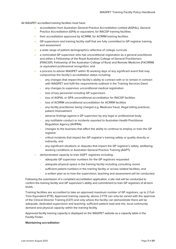All WAGPET accredited training facilities must have:

- accreditation from Australian General Practice Accreditation Limited (AGPAL), General Practice Accreditation (GPA) or equivalent, for RACGP training facilities
- their accreditation approved by ACRRM, for ACRRM training facilities
- GP supervisors and training facility staff that are fully committed to GP registrar training and assessment
- a wide range of patient demographics reflective of college curricula
- a nominated GP supervisor who has unconditional registration as a general practitioner and either a Fellowship of the Royal Australian College of General Practitioners (FRACGP), Fellowship of the Australian College of Rural and Remote Medicine (FACRRM) or equivalent professional recognition, and
- a process to advise WAGPET within 10 working days of any significant event that may compromise the facility's accreditation status including:
	- any changes that impact the facility's ability to contract with or to remain in contract with WAGPET and fulfil the requirements outlined in the Training Services Deed
	- any changes to supervisor unconditional medical registration
	- loss of key personnel including GP supervisors
	- loss of AGPAL or GPA unconditional accreditation for RACGP facilities
	- loss of ACRRM unconditional accreditation for ACRRM facilities
	- any facility practitioner being charged e.g. Medicare fraud, illegal billing practices, patient mistreatment
	- adverse findings against a GP supervisor by any legal or professional body
	- any notifiable conduct or incidents reported to Australian Health Practitioner Regulation Agency (AHPRA)
	- changes to the business that affect the ability to continue to employ or train the GP registrar
	- critical incidents that impact the GP registrar's training safety or quality directly or indirectly, and
	- any significant situations or disputes that impact the GP registrar's safety, wellbeing, working conditions or Australian General Practice Training (AGPT).
- demonstrated capacity to train AGPT registrars including:
	- adequate GP supervisor numbers for the GP registrars requested
	- adequate physical space in the training facility including consulting rooms
	- sufficient patient numbers in the training facility or across related facilities, and
	- a written plan as to how the supervision, teaching and assessment will be conducted.

Following the submission of a compliant accreditation application, a site visit will be conducted to confirm the training facility and GP supervisor's ability and commitment to train GP registrars of all term levels.

Training facilities are accredited to take an approved maximum number of GP registrars, up to 2 Full-Time Equivalent (FTE). Approved training capacity, above 2 FTE can only be varied with the approval of the Clinical Director Training (CDT) and only where the facility can demonstrate there will be adequate, dedicated supervision and teaching, sufficient patient load and mix, local community demand and physical capacity within the training facility.

Approved facility training capacity is displayed on the WAGPET website as a capacity table in the Facility Finder.

# **Maintaining accreditation**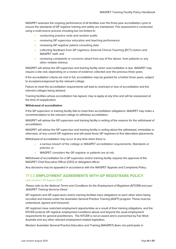WAGPET assesses the ongoing performance of all facilities over the three-year accreditation cycle to ensure the standards of GP registrar training and safety are maintained. This assessment is conducted using a multi-source process including but not limited to:

- conducting practice visits and random audits
- reviewing GP supervisor education and teaching performance
- reviewing GP registrar patient consulting data
- collecting feedback from GP registrars, External Clinical Teaching (ECT) visitors and WAGPET staff, and
- reviewing complaints or concerns raised from any of the above, from patients or any other reliable witness.

WAGPET will advise the GP supervisor and training facility when reaccreditation is due. WAGPET may require a site visit, depending on a review of evidence collected over the previous three years.

If the accreditation criteria are met in full, accreditation may be granted for a further three years, subject to acceptance/approval by the relevant college.

Failure to meet the accreditation requirements will lead to restricted or loss of accreditation and the relevant colleges being advised.

Training facilities whose accreditation has lapsed, may re-apply at any time and will be reassessed at the time of reapplication.

# **Withdrawal of accreditation**

If the GP supervisor or training facility fails to meet their accreditation obligations, WAGPET may make a recommendation to the relevant college to withdraw accreditation.

WAGPET will advise the GP supervisor and training facility in writing of the reasons for the withdrawal of accreditation.

WAGPET will advise the GP supervisor and training facility in writing about the withdrawal, immediate or otherwise, of any current GP registrars and will assist those GP registrars to find alternative placements.

Withdrawal of accreditation may occur at any time when there is:

- a serious breach of the college or WAGPET accreditation requirements, Standards or policies; or
- WAGPET considers the GP registrar or patients are at risk.

Withdrawal of accreditation for a GP supervisor and/or training facility requires the approval of the WAGPET Chief Executive Officer (CEO) or delegated officer.

Any decisions may be appealed in accordance with the WAGPET Appeals and Complaints Policy.

# <span id="page-7-0"></span>TF3.0 **EMPLOYMENT AGREEMENTS WITH GP REGISTRARS POLICY**

# Last revision: 25 August 2021

# Please refer to the National Terms and Conditions for the Employment of Registrars (NTCER) and your WAGPET Training Services Deed.

GP registrars and GP supervisors and/or training facilities have obligations to each other when being recruited and trained under the Australian General Practice Training (AGPT) program. These must be understood, agreed and honoured.

GP registrars have restricted employment opportunities as a result of their training obligations, and the NTCER protects GP registrar employment conditions above and beyond the usual employment requirements for general practitioners. The NTCER is not an award and is overarched by Fair Work Australia and any other relevant employment related legislation.

Western Australian General Practice Education and Training (WAGPET) does not participate in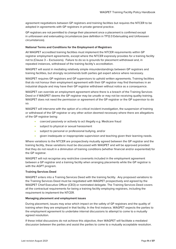agreement negotiations between GP registrars and training facilities but requires the NTCER to be adopted in agreements with GP registrars in private general practice.

GP registrars are not permitted to change their placement once a placement is confirmed except in unforeseen and extenuating circumstances (see definition in TF12.0 Extenuating and Unforeseen circumstances).

# **National Terms and Conditions for the Employment of Registrars**

All WAGPET accredited training facilities must implement the NTCER requirements within GP registrar employment agreements, except where the NTCER expressly provides for a training facility not to (Clause 3 – Exclusions). Failure to do so is grounds for placement withdrawal and, in repeated instances, withdrawal of the training facility's accreditation.

WAGPET will assist in mediating relatively simple misunderstandings between GP registrars and training facilities, but strongly recommends both parties get expert advice where necessary.

WAGPET requires GP registrars and GP supervisors to uphold written agreements. Training facilities that do not honour their employment agreement with their GP registrar may find themselves in an industrial dispute and may have their GP registrar withdrawn without notice as a consequence.

WAGPET can override an employment agreement where there is a breach of the Training Services Deed or if WAGPET deems the GP registrar may be unsafe or may not be receiving quality training. WAGPET does not need the permission or agreement of the GP registrar or the GP supervisor to do so.

WAGPET will intervene with the option of a critical incident investigation, the suspension of training or withdrawal of the GP registrar or any other action deemed necessary where there are allegations of the GP registrar being:

- coerced passively or actively to act illegally e.g. Medicare fraud
- subject to physical or sexual harassment
- subject to personal or professional bullying, and/or
- given inadequate or inappropriate supervision and teaching given their learning needs.

Where variations to the NTCER are prospectively mutually agreed between the GP registrar and the training facility, these variations must be discussed with WAGPET and will be approved provided that they do not result in a diminution of training conditions (whether financial and/or experiential) for the GP registrar.

WAGPET will not recognise any restrictive covenants included in the employment agreement between a GP registrar and a training facility when arranging placements while the GP registrar is with the AGPT program.

# **Training Services Deed**

WAGPET enters into a Training Services Deed with the training facility. Any proposed variations to the Training Services Deed must be negotiated with WAGPET prospectively and agreed by the WAGPET Chief Executive Officer (CEO) or nominated delegate. The Training Services Deed covers all the contractual requirements for being a training facility employing registrars, including the requirement to implement the NTCER.

# **Managing placement and employment issues**

During placement, issues may arise which impact on the safety of GP registrars and the quality of training when they are employed in that facility. In the first instance, WAGPET expects the parties to the employment agreement to undertake internal discussions to attempt to come to a mutually agreed resolution.

If these initial discussions do not achieve this objective, then WAGPET will facilitate a mediated discussion between the parties and assist the parties to come to a mutually acceptable resolution.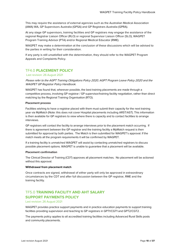This may require the assistance of external agencies such as the Australian Medical Association (AMA) WA, GP Supervisors Australia (GPSA) and GP Registrars Australia (GPRA).

At any stage GP supervisors, training facilities and GP registrars may engage the assistance of the regional Registrar Liaison Officer (RLO) or regional Supervisor Liaison Officer (SLO), WAGPET Program Training Advisor (PTA) and/or Regional Medical Educator (RME).

WAGPET may make a determination at the conclusion of these discussions which will be advised to the parties in writing for their consideration.

If any party is still unsatisfied with the determination, they should refer to the WAGPET Program Appeals and Complaints Policy.

# <span id="page-9-0"></span>TF4.0 **PLACEMENT POLICY**

# Last revision: 26 August 2021

Please refer to the AGPT Training Obligations Policy 2020, AGPT Program Leave Policy 2020 and the WAGPET GP Registrar Policy Handbook.

WAGPET has found that, wherever possible, the best training placements are made through a competitive process, involving GP registrar / GP supervisor/training facility negotiation, rather than direct matching by the Regional Training Organisation (RTO).

# **Placement process**

Facilities wishing to have a registrar placed with them must submit their capacity for the next training year via MyMatch (Note: this does not cover Hospital placements including ARST/AST). This information is then available for GP registrars to view where there is capacity and to contact facilities to arrange interviews.

GP registrars will contact the facility to arrange interviews prior to the placement match occurring. If there is agreement between the GP registrar and the training facility a MyMatch request is then submitted for approval by both parties. The Match is then submitted for WAGPET's approval. If the match meets all the program requirements it will be confirmed by WAGPET.

If a training facility is unmatched WAGPET will assist by contacting unmatched registrars to discuss possible placement options. WAGPET is unable to guarantee that a placement will be available.

# **Placement confirmation**

The Clinical Director of Training (CDT) approves all placement matches. No placement will be actioned without this approval.

# **Withdrawal from placement match**

Once contracts are signed, withdrawal of either party will only be approved in extraordinary circumstances by the CDT and after full discussion between the GP registrar, RME and the training facility.

# <span id="page-9-1"></span>TF5.0 **TRAINING FACILITY AND AHT SALARY SUPPORT PAYMENTS POLICY**

Last revision: 26 August 2021

WAGPET provides practice support payments and in practice education payments to support training facilities providing supervision and teaching to GP registrars in GPT1/CGT1 and GPT2/CGT2.

The payments policy applies to all accredited training facilities including Advanced Rural Skills posts and community placements.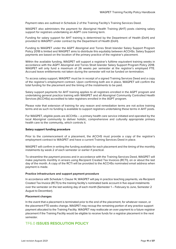Payment rates are outlined in Schedule 2 of the Training Facility's Training Services Deed.

WAGPET also administers the payment for Aboriginal Health Training (AHT) posts claiming salary support for registrars undertaking an AGPT core training term.

Funding for salary support for AHT training is determined by the Department of Health (DoH) and provided to WAGPET under contract by the Department of Health (DoH).

Funding to WAGPET under the AGPT Aboriginal and Torres Strait Islander Salary Support Program Policy 2018 is limited and WAGPET aims to distribute this equitably between ACCHSs. Salary Support payments are based on the location of the primary practice of the registrar's placement.

Within the available funding, WAGPET will support a registrar's fulltime equivalent training weeks in accordance with the AGPT Aboriginal and Torres Strait Islander Salary Support Program Policy 2018. WAGPET will only fund a maximum of 26 weeks per semester at the registrar's employed FTE. Accrued leave entitlements not taken during the semester will not be funded on termination.

To access salary support, WAGPET must be in receipt of a signed Training Services Deed and a copy of the registrar's employment contract. Upon confirming both are in place, WAGPET will confirm the total funding for the placement and the timing of the instalments to be paid.

Salary support payments for AHT training applies to all registrars enrolled in the AGPT program and undertaking general practice training with WAGPET and all Aboriginal Community Controlled Health Services (ACCHSs) accredited to take registrars enrolled in the AGPT program.

Please note that extension of training for any reason and remediation terms are not active training terms and as such no funding is available to support registrars undertaking these terms in AHT posts.

For WAGPET, eligible posts are ACCHSs – a primary health care service initiated and operated by the local Aboriginal community to deliver holistic, comprehensive and culturally appropriate primary health care to the community, which controls it.

# **Salary support funding procedure**

Prior to the commencement of a placement, the ACCHS must provide a copy of the registrar's employment contract to WAGPET and have a current Training Services Deed in place.

WAGPET will confirm in writing the funding available for each placement and the timing of the monthly instalments by week 2 of each semester or earlier if practical.

To streamline the payment process and in accordance with the Training Services Deed, WAGPET will make payments monthly in arrears using Recipient Created Tax Invoices (RCTI), on or about the last day of the month. A copy of the RCTI will be provided to the ACCHSs nominated email address when payment is made.

# **Practice infrastructure and support payment procedure**

In accordance with Schedule 1, Clause 14, WAGPET will pay in practice teaching payments, via Recipient Created Tax Invoice (RCTI) to the training facility's nominated bank account in five equal instalments over the semester on the last working day of each month (Semester 1 – February to June, Semester 2 August to December).

# **Placement changes**

In the event that a placement is terminated prior to the end of the placement, for whatever reason, or the placement FTE weeks change, WAGPET may recoup the remaining portion of any practice support payment allocated to the Training Facility. WAGPET may reallocate an over payment to a future registrar placement if the Training Facility would be eligible to receive funds for a registrar placement in the next semester.

# <span id="page-10-0"></span>TF6.0 **ISSUES RESOLUTION POLICY**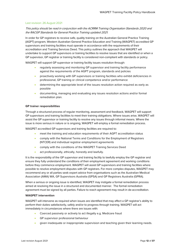# Last revision: 26 August 2021

# This policy should be read in conjunction with the ACRRM Training Organisation Standards 2020 and the RACGP Standards for General Practice Training updated 2021.

In order for GP registrars to receive safe, quality training on the Australian General Practice Training (AGPT) program, Western Australian General Practice Education and Training (WAGPET) accredited GP supervisors and training facilities must operate in accordance with the requirements of their accreditation and Training Services Deed. This policy outlines the approach that WAGPET will undertake to support GP supervisors or training facilities to resolve issues that are identified or when a GP supervisor, GP registrar or training facility is considered non-compliant with standards or policy.

WAGPET will support GP supervisor or training facility issues resolution through:

- regularly assessing and monitoring GP supervisor and training facility performance against the requirements of the AGPT program, standards and policies
- proactively working with GP supervisors or training facilities who exhibit deficiencies in professional, GP training or clinical competence and/or performance
- determining the appropriate level of the issues resolution action required as early as possible
- documenting, managing and evaluating any issues resolution actions and/or formal remediation plan.

# **GP trainer responsibilities**

Through a structured process of regular monitoring, assessment and feedback, WAGPET will support GP supervisors and training facilities to meet their training obligations. Where issues arise, WAGPET will assist the GP supervisor or training facility to resolve any issues through informal means. Where the issue is more serious in nature or is ongoing, WAGPET will employ a formal remediation process.

WAGPET accredited GP supervisors and training facilities are required to:

- meet the training and education requirements of their AGPT accreditation status
- comply with the National Terms and Conditions for the Employment of Registrars (NTCER) and individual registrar employment agreements
- comply with the conditions of the WAGPET Training Services Deed
- act professionally, ethically, honestly and lawfully.

It is the responsibility of the GP supervisor and training facility to lawfully employ the GP registrar and ensure they fully understand the conditions of their employment agreement and working conditions before they commence employment. WAGPET will assist GP supervisors and training facilities where possible to resolve employment disputes with GP registrars. For more complex disputes, WAGPET may recommend any or all parties seek expert advice from organisations such as the Australian Medical Association (AMA) WA, GP Supervisors Australia (GPSA) and GP Registrars Australia (GPRA).

When a serious or ongoing issue is identified, WAGPET may instigate a formal remediation process aimed at resolving the issue in a structured and documented manner. The formal remediation agreement must be signed by all parties. Failure to reach agreement may result in de-accreditation.

# **WAGPET intervention**

WAGPET will intervene as required when issues are identified that may affect a GP registrar's ability to perform their duties satisfactorily, safely and/or to progress through training. WAGPET will act immediately in circumstances where there are issues with:

- Coerced passively or actively to act illegally e.g. Medicare fraud
- GP supervisor professional behaviour
- given inadequate or inappropriate supervision and teaching given their learning needs.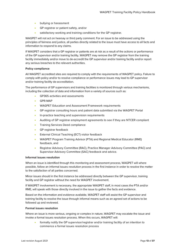- bullying or harassment
- GP registrar or patient safety, and/or
- satisfactory working and training conditions for the GP registrar.

WAGPET will not act on hearsay or third party comment. For an issue to be addressed using the principles of fairness and justice, all parties directly related to the issue must have access to all facts and information to respond to any claims.

If WAGPET considers that a GP registrar or patients are at risk as a result of the actions or performance of the GP supervisor and/or training facility, WAGPET may remove the GP registrar from the training facility immediately and/or move to de-accredit the GP supervisor and/or training facility and/or report any serious breaches to the relevant authorities.

# **Policy compliance**

All WAGPET accredited sites are required to comply with the requirements of WAGPET policy. Failure to comply with policy and/or to resolve compliance or performance issues may lead to GP supervisor and/or training facility de-accreditation.

The performance of GP supervisors and training facilities is monitored through various mechanisms, including the collection of data and information from a variety of sources such as:

- GP365 activities and assessments
- GPR-MAP
- WAGPET Education and Assessment Framework requirements
- GP registrar consulting hours and patient data submitted via the WAGPET Portal
- In-practice teaching and supervision requirements
- Auditing of GP registrar employment agreements to see if they are NTCER compliant
- Training Services Deed compliance
- GP registrar feedback
- External Clinical Teaching (ECT) visitor feedback
- WAGPET Program Training Advisor (PTA) and Regional Medical Educator (RME) feedback, and
- Registrar Advisory Committee (RAC), Practice Manager Advisory Committee (PAC) and Supervisor Advisory Committee (SAC) feedback and advice.

# **Informal issues resolution**

When an issue is identified through this monitoring and assessment process, WAGPET will where possible, follow an informal issues resolution process in the first instance in order to resolve the matter to the satisfaction of all parties concerned.

Minor issues should in the first instance be addressed directly between the GP supervisor, training facility and GP registrar without the need for WAGPET involvement.

If WAGPET involvement is necessary, the appropriate WAGPET staff, in most cases the PTA and/or RME, will speak with those directly involved in the issue to gather the facts and evidence.

Based on the information and evidence available, WAGPET staff will assist the GP supervisor and training facility to resolve the issue through informal means such as an agreed set of actions to be followed up and reviewed.

# **Formal issues resolution**

Where an issue is more serious, ongoing or complex in nature, WAGPET may escalate the issue and invoke a formal issues resolution process. When this occurs, WAGPET will:

• formally notify the GP supervisor/registrar and/or training facility of an intention to commence a formal issues resolution process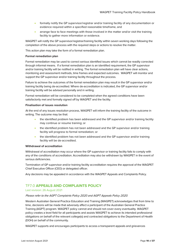- formally notify the GP supervisor/registrar and/or training facility of any documentation or evidence required within a specified reasonable timeframe, and
- arrange face to face meetings with those involved in the matter and/or visit the training facility to gather more information or evidence.

WAGPET will notify the GP supervisor/registrar/training facility within seven working days following the completion of the above process with the required steps or actions to resolve the matter.

This action plan may take the form of a formal remediation plan.

# **Formal remediation plan**

Formal remediation may be used to correct serious identified issues which cannot be readily corrected through informal means. If a formal remediation plan is an identified requirement, the GP supervisor and/or training facility will be notified in writing. The formal remediation plan will have clear actions, monitoring and assessment methods, time frames and expected outcomes. WAGPET will monitor and support the GP supervisor and/or training facility throughout the process.

Failure to achieve the outcomes of the formal remediation plan may result in the GP supervisor and/or training facility being de-accredited. Where de-accreditation is indicated, the GP supervisor and/or training facility will be advised personally and in writing.

Formal remediation will be considered to be completed when the agreed conditions have been satisfactorily met and formally signed off by WAGPET and the facility.

# **Finalisation of issues resolution**

At the end of any issues resolution process, WAGPET will inform the training facility of the outcome in writing. The outcome may be that:

- the identified problem has been addressed and the GP supervisor and/or training facility may continue or resume training; or
- the identified problem has not been addressed and the GP supervisor and/or training facility will progress to formal remediation; or
- the identified problem has not been addressed and the GP supervisor and/or training facility will be de-accredited.

# **Withdrawal of accreditation**

Withdrawal of accreditation may occur where the GP supervisor or training facility fails to comply with any of the conditions of accreditation. Accreditation may also be withdrawn by WAGPET in the event of serious deficiencies.

Termination of GP supervisor and/or training facility accreditation requires the approval of the WAGPET Chief Executive Officer (CEO) or delegated officer.

Any decisions may be appealed in accordance with the WAGPET Appeals and Complaints Policy.

# <span id="page-13-0"></span>TF7.0 **APPEALS AND COMPLAINTS POLICY**

# Last revision: 26 August 2021

# Please refer to the AGPT Complaints Policy 2020 and AGPT Appeals Policy 2020.

Western Australian General Practice Education and Training (WAGPET) acknowledges that from time to time, decisions will be made that adversely affect a participant of the Australian General Practice Training (AGPT) program. WAGPET policy cannot and should not cover every eventuality. WAGPET policy creates a level field for all participants and assists WAGPET to achieve its intended professional obligations on behalf of the relevant college(s) and contracted obligations to the Department of Health (DOH) on behalf of the community.

WAGPET supports and encourages participants to access a transparent appeals and grievances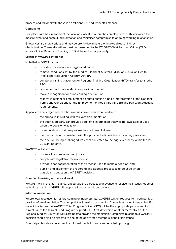process and will deal with these in an efficient, just and respectful manner.

# **Complaints**

Complaints are best resolved at the location closest to where the complaint arose. This provides the most relevant and contextual information and minimises compromise to ongoing working relationships.

Grievances are more serious and may be prohibitive in nature or involve direct or indirect discrimination. These allegations must be presented to the WAGPET Chief Program Officer (CPO) and/or Clinical Director of Training (CDT) at the earliest opportunity.

# **Extent of WAGPET influence**

Note that WAGPET cannot:

- provide compensation to aggrieved parties
- remove conditions set by the Medical Board of Australia (MBA) or Australian Health Practitioner Regulation Agency (AHPRA)
- compel a training placement or Regional Training Organisation (RTO) transfer to another RTO
- confirm or back date a Medicare provider number
- make a recognition for prior learning decision, or
- resolve industrial or employment disputes outside a basic interpretation of the National Terms and Conditions for the Employment of Registrars (NTCER) and Fair Work Australia requirements.

Appeals can be lodged where other avenues have been exhausted and:

- the appeal is in writing with relevant documentation
- the aggrieved party can provide additional information that was not available or used when the decision was taken
- it can be shown that due process has not been followed
- the decision is not consistent with the provided valid evidence including policy, and
- the decision being challenged was communicated to the aggrieved party within the last 20 working days.

WAGPET will at all times:

- observe the rules of natural justice
- comply with legislative requirements
- provide clear documentation of the process used to make a decision, and
- publish and implement the reporting and appeals processes to be used when participants question a WAGPET decision.

# **Complaints arising at the local level**

WAGPET will, in the first instance, encourage the parties to a grievance to resolve their issues together at the local level. WAGPET will support all parties in this endeavour.

# **Informal mediation**

Where local resolution is not forthcoming or inappropriate, WAGPET will, on request from both parties, provide informal mediation. The complaint will need to be in writing from at least one of the parties. For non-clinical issues the WAGPET Chief Program Officer (CPO) will be the appropriate person and for clinical issues the Clinical Lead Program Support (CLPS) will determine whether themselves or the Regional Medical Educator (RME) are best to provide the mediation. Complaints relating to a WAGPET decision should also be directed to one of the above staff members in the first instance.

External parties also able to provide informal mediation and can be called upon e.g.: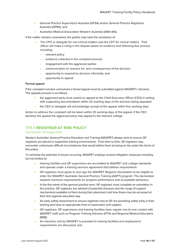- General Practice Supervisors Australia (GPSA) and/or General Practice Registrars Australia (GPRA), and
- Australian Medical Association Western Australia (AMA WA).

If the matter remains unresolved, the parties may seek the assistance of:

- The CPO or delegate for non-clinical matters and the CDT for clinical matters. That officer will make a ruling in the dispute based on evidence and following due process including:
	- relevant policy
	- evidence collected in the complaint process
	- engagement with the aggrieved parties
	- communication of, reasons for, and consequences of the decision
	- opportunity to respond to decision informally, and
	- opportunity to appeal.

# **Formal appeal**

If the complaint remains unresolved a formal appeal must be submitted against WAGPET's decision. The appeals process is as follows

- the aggrieved party must submit an appeal to the Chief Executive Officer (CEO) in writing with supporting documentation within 20 working days of the decision being appealed
- the CEO or delegate will acknowledge receipt of the appeal within five working days

Action to address the complaint will be taken within 20 working days of the appeal. If the CEO declines the appeal the aggrieved party may appeal to the relevant college.

# <span id="page-15-0"></span>TF8.0 **REGISTRAR AT RISK POLICY**

# Last revision: 26 August 2021

Western Australian General Practice Education and Training (WAGPET) always aims to ensure GP registrars are placed in supportive training environments. From time to time, GP registrars may encounter unforeseen difficult circumstances that would define them as being at risk under the terms of this policy.

To minimise the potential of issues occurring, WAGPET employs several mitigation measures including but not limited to:

- training facilities and GP supervisors are accredited to WAGPET and college standards and operate under a training services agreement that defines requirements
- GP registrars must agree to and sign the WAGPET Registrar Declaration to be eligible to enter the WAGPET Australian General Practice Training (AGPT) program. The declaration explains minimum requirements for program performance and acceptable behaviour
- In the first week of the general practice term, GP registrars must complete an orientation in the practice. GP registrars are advised of potential stressors and the range of support mechanisms available to them during their placement and how these may be accessed at their first regional education day
- An early safety assessment to ensure registrars new to GP are practising safely early in their training and have an appropriate level of supervision and support.
- GP registrars, GP supervisors and training facilities have regular one-to-one contact with WAGPET staff such as Program Training Advisors (PTA) and Regional Medical Educators (RME)
- An induction visit by WAGPET is provided to training facilities and employment requirements are discussed, and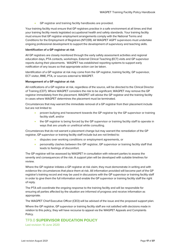• GP registrar and training facility handbooks are provided.

Your training facility must ensure that GP registrars practise in a safe environment at all times and that your training facility meets legislated occupational health and safety standards. Your training facility must ensure that GP registrar employment arrangements comply with the National Terms and Conditions for the Employment of Registrars (NTCER). All WAGPET AGPT supervisors must undertake ongoing professional development to support the development of supervisory and teaching skills.

# **Identification of a GP registrar at risk**

All GP registrars are closely monitored through the early safety assessment activities and regional education days, PTA contacts, workshops, External Clinical Teaching (ECT) visits and GP supervisor reports during their placements. WAGPET has established reporting systems to support early notification of any issues so that appropriate action can be taken.

Identification of a GP registrar at risk may come from the GP registrar, training facility, GP supervisor, ECT visitor, RME, PTA, or sources external to WAGPET.

# **Management of a GP registrar at risk**

All notifications of a GP registrar at risk, regardless of the source, will be directed to the Clinical Director of Training (CDT). Where WAGPET considers the risk to be significant, WAGPET may remove the GP registrar immediately from the placement. WAGPET will advise the GP registrar and the training facility in cases where WAGPET determines the placement must be terminated.

Circumstances that may warrant the immediate removal of a GP registrar from their placement include but are not limited to:

- proven bullying and harassment towards the GP registrar by the GP supervisor or training facility staff, and/or
- the GP registrar is being forced by the GP supervisor or training facility staff to operate in ways that are unsafe or unethical while consulting.

Circumstances that do not warrant a placement change but may warrant the remediation of the GP registrar, GP supervisor or training facility staff include but are not limited to:

- disputes over working conditions or employment agreements, or
- personality clashes between the GP registrar, GP supervisor or training facility staff that leads to feelings of discomfort.

The GP registrar will be assessed by WAGPET in consultation with relevant parties to assess the severity and consequences of the risk. A support plan will be developed with suitable timelines for review.

Where the GP registrar initiates a GP registrar at risk claim, they must demonstrate in writing and with evidence the circumstances that place them at risk. All information provided will become part of the GP registrar's training record and may be used in discussions with the GP supervisor or training facility staff in order to give them the full information and enable the GP supervisor or training facility staff the right of reply.

The PTA will coordinate the ongoing response to the training facility and will be responsible for ensuring all parties affected by the situation are informed of progress and receive information as appropriate.

The WAGPET Chief Executive Officer (CEO) will be advised of the issue and the proposed support plan.

Where the GP registrar, GP supervisor or training facility staff are not satisfied with decisions made in relation to this policy, they will have recourse to appeal via the WAGPET Appeals and Complaints Policy.

# <span id="page-16-0"></span>TF9.0 **SUPERVISOR EDUCATION POLICY**

Last revision: 10 June 2020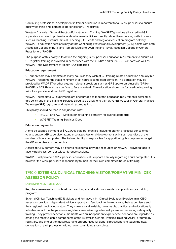Continuing professional development in trainer education is important for all GP supervisors to ensure quality teaching and learning experiences for GP registrars.

Western Australian General Practice Education and Training (WAGPET) provides all accredited GP supervisors access to professional development activities directly related to enhancing skills in areas such as teaching, External Clinical Teaching (ECT) visits and regional education program delivery. WAGPET's education sessions may attract Continuing Professional Development (CPD) points with both Australian College of Rural and Remote Medicine (ACRRM) and Royal Australian College of General Practitioners (RACGP).

The purpose of this policy is to define the ongoing GP supervisor education requirements to ensure all GP registrar training is provided in accordance with the ACRRM and/or RACGP Standards as well as WAGPET and Department of Health (DOH) policies.

# **Education requirement**

GP supervisors may complete as many hours as they wish of GP training-related education annually but WAGPET recommends that a minimum of six hours is completed per year. The education may be provided by WAGPET or other external relevant providers such as GP Supervisors Australia (GPSA), RACGP or ACRRM and may be face to face or virtual. The education should be focused on improving skills to supervise and teach GP registrars.

WAGPET accredited GP supervisors are encouraged to meet the education requirements detailed in this policy and in the Training Services Deed to be eligible to train WAGPET Australian General Practice Training (AGPT) registrars and maintain accreditation.

This policy should be read in conjunction with:

- RACGP and ACRRM vocational training pathway fellowship standards
- WAGPET Training Services Deed.

# **Education payments**

A one-off capped payment of \$720.00 is paid per practice (including branch practices) per calendar year to support GP supervisor attendance at professional development activities, regardless of the number of hours completed. The training facility is responsible for apportioning this payment amongst the GP supervisors in the practice.

Access to CPD content may be offered as external provided resources or WAGPET provided face to face, virtual classroom, or teleconference sessions.

WAGPET will provide a GP supervisor education status update annually regarding hours completed. It is however the GP supervisor's responsibility to monitor their own completed hours of training.

# <span id="page-17-0"></span>TF10.0 **EXTERNAL CLINICAL TEACHING VISITOR/FORMATIVE MINI-CEX ASSESSOR POLICY**

# Last revision: 26 August 2021

Regular assessment and professional coaching are critical components of apprentice-style training programs.

External Clinical Teaching (ECT) visitors and formative mini-Clinical Evaluation Exercise (mini-CEX) assessors provide independent advice, support and feedback to the registrars, their supervisors and their regional medical educators. They make a valid, reliable, measurable, practical and educationally valuable impact that helps ensure registrars are delivering safe quality care and receiving safe quality training. They provide teachable moments with an independent experienced peer and are regarded as among the most valuable components of the Australian General Practice Training (AGPT) program by registrars, and one of the most rewarding opportunities for general practitioners to teach the next generation of their profession without over-committing themselves.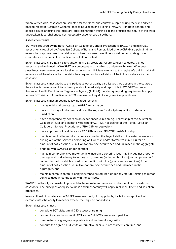Wherever feasible, assessors are selected for their local and contextual input during the visit and feed back to Western Australian General Practice Education and Training (WAGPET) on both general and specific issues affecting the registrars' progress through training e.g. the practice, the nature of the work undertaken, local challenges not necessarily experienced elsewhere.

# **Assessment visits**

ECT visits required by the Royal Australian College of General Practitioners (RACGP) and mini-CEX assessments required by Australian College of Rural and Remote Medicine (ACRRM) are point-in-time events that capture current capability and when compared over time should demonstrate growing competence in action in the practice consultation context.

External assessors are ECT visitors and/or mini-CEX providers. All are carefully selected, trained, assessed and reviewed by WAGPET as competent and capable to undertake the role. Wherever possible, chosen assessors are local, or experienced clinicians relevant to the registrar's training. Not all assessors will be allocated all the visits they request and not all visits will be in the local area for that assessor.

External assessors must address any patient safety or quality care issues they observe in the course of the visit with the registrar, inform the supervisor immediately and report this to WAGPET urgently. Australian Health Practitioner Regulation Agency (AHPRA) mandatory reporting requirements apply for any ECT visitor or formative mini-CEX assessor as they do for any medical practitioner.

External assessors must meet the following requirements:

- maintain full and unrestricted AHPRA registration
- have no history of prior removal from the register for disciplinary action under any jurisdiction
- have acceptance by peers as an experienced clinician e.g. Fellowship of the Australian College of Rural and Remote Medicine (FACRRM), Fellowship of the Royal Australian College of General Practitioners (FRACGP) or equivalent
- have approved clinical time as a FACRRM and/or FRACGP post-fellowship
- maintain medical indemnity insurance covering the legal liability of the external assessor arising out of the services delivering an ECT visit and/or formative mini-CEX for an amount of not less than \$5 million for any one occurrence and unlimited in the aggregate
- engage with WAGPET under contract
- maintain comprehensive motor vehicle insurance covering legal liability against property damage and bodily injury to, or death of, persons (including bodily injury gap protection) caused by motor vehicles used in connection with the (goods and/or services) for an amount of not less than \$10 million for any one occurrence and unlimited in the aggregate, and
- maintain compulsory third-party insurance as required under any statute relating to motor vehicles used in connection with the services.

WAGPET will apply a consistent approach to the recruitment, selection and appointment of external assessors. The principles of equity, fairness and transparency will apply in all recruitment and selection processes.

In exceptional circumstances, WAGPET reserves the right to appoint by invitation an applicant who demonstrates the ability to meet or exceed the required capabilities.

External assessors must:

- complete ECT visitor/mini-CEX assessor training
- commit to attending specific ECT visitor/mini-CEX assessor up-skilling
- demonstrate ongoing appropriate clinical and mentoring skills
- conduct the agreed ECT visits or formative mini-CEX assessments on time, and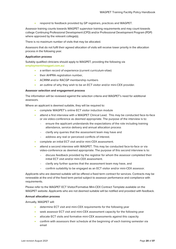• respond to feedback provided by GP registrars, practices and WAGPET.

Assessor training counts towards WAGPET supervisor training requirements and may count towards college Continuing Professional Development (CPD) and/or Professional Development Program (PDP) where approved by the relevant college(s).

There is no maximum number of visits that may be allocated.

Assessors that do not fulfil their agreed allocation of visits will receive lower priority in the allocation process in the following year.

# **Application process**

Suitably qualified clinicians should apply to WAGPET, providing the following via **[employment@wagpet.com.au](mailto:employment@wagpet.com.au)**:

- a written record of experience (current curriculum-vitae)
- their AHPRA registration number,
- ACRRM and/or RACGP membership numbers
- an outline of why they wish to be an ECT visitor and/or mini-CEX provider.

# **Assessor selection and engagement process**

The information will be reviewed against the selection criteria and WAGPET's need for additional assessors.

Where an applicant is deemed suitable, they will be required to:

- complete WAGPET's online ECT visitor induction module
- attend a first interview with a WAGPET Clinical Lead. This may be conducted face-to-face or via video-conference as deemed appropriate. The purpose of the interview is to:
	- ensure the applicant understands the expectations of the role including training attendance, service delivery and annual allocation process
	- clarify any queries that the assessment team may have and
	- address any real or perceived conflicts of interest.
- complete an initial ECT visit and/or mini-CEX assessment.
- attend a second interview with WAGPET. This may be conducted face-to-face or via video-conference as deemed appropriate. The purpose of this second interview is to:
	- discuss feedback provided by the registrar for whom the assessor completed their initial ECT visit and/or mini-CEX assessment.
	- clarify any further queries that the assessment team may have, and
	- confirm suitability to be engaged as an ECT visitor and/or mini-CEX assessor.

Applicants who are deemed suitable will be offered a fixed term contract for services. Contracts may be renewable at the end of the fixed term period subject to assessor performance and compliance with requirements.

Please refer to the WAGPET ECT Visitor/Formative Mini-CEX Contract Template available on the WAGPET website. Applicants who are not deemed suitable will be notified and provided with feedback.

# **Annual allocation process**

Annually, WAGPET will:

- determine ECT visit and mini-CEX requirements for the following year
- seek assessor ECT visit and mini-CEX assessment capacity for the following year
- allocate ECT visits and formative mini-CEX assessments against this capacity
- confirm with assessors their schedule at the beginning of each training semester via email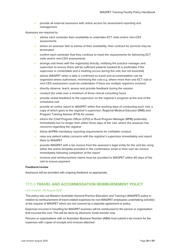• provide all external assessors with online access for assessment reporting and management.

Assessors are required to:

- advise each semester their availability to undertake ECT visits and/or mini-CEX assessments
- where an assessor fails to advise of their availability, their contract for services may be terminated
- confirm each semester that they continue to meet the requirements for delivering ECT visits and/or mini-CEX assessments
- arrange visit times with the registrar(s) directly, notifying the practice manager and supervisor to ensure there will be sufficient patients booked (it is preferable if the supervisor is contactable and a meeting occurs during the visit, but not essential)
- advise WAGPET when a date is confirmed so travel and accommodation can be organised where authorised, minimising the cost e.g. where more than one ECT visit or mini-CEX assessment could be undertaken if there are multiple registrars involved
- directly observe, teach, assess and provide feedback during the session
- conduct the visits over a minimum of three clinical consulting hours
- provide verbal feedback to the supervisor on the registrar's progress at the end of the scheduled visit
- provide an online report to WAGPET within five working days of conducting each visit, a copy of which goes to the registrar's supervisor, Regional Medical Educator (RME) and Program Training Advisor (PTA) for review
- inform the Chief Program Officer (CPO) or Rural Program Manager (RPM) preferably immediately but no longer than within three days of the visit, where the assessor has concerns regarding the registrar
- follow AHPRA mandatory reporting requirements for notifiable conduct
- raise any patient safety concerns with the registrar's supervisor immediately and report them to WAGPET
- provide WAGPET with a tax invoice from the assessor's legal entity for the visit fee using either the online template provided in the confirmation email or their own tax invoice immediately following completion of the report
- invoices and reimbursement claims must be provided to WAGPET within 60 days of the visit to ensure payment.

# **Feedback/review**

Assessors will be provided with ongoing feedback as appropriate.

# <span id="page-20-0"></span>TF11.0 **TRAVEL AND ACCOMMODATION REIMBURSEMENT POLICY**

# Last revision: 26 August 2021

This policy sets out Western Australian General Practice Education and Training's (WAGPET) policy in relation to reimbursement of travel related expenses for non-WAGPET employees undertaking activities at the request of WAGPET which are not covered by a separate agreement or policy.

Expenses incurred in travelling for WAGPET business will be reimbursed to the person or organisation that incurred the cost. This will be done by electronic funds transfer only.

Persons or organisations with an Australian Business Number (ABN) must submit a tax invoice for the expenses with copies of receipts and invoices attached.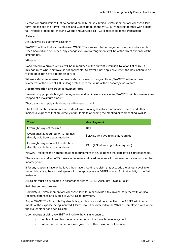Persons or organisations that do not hold an ABN, must submit a Reimbursement of Expenses Claim form (please see the Forms, Policies and Guides page on the WAGPET website) together with original tax invoices or receipts (showing Goods and Services Tax (GST) applicable to the transaction).

# **Airfare**

Air travel will be economy class only.

WAGPET will book all air travel unless WAGPET approves other arrangements for particular events. Once booked and confirmed, any changes to travel arrangements will be at the direct expense of the stakeholder.

### **Mileage**

Road travel in a private vehicle will be reimbursed at the current Australian Taxation Office (ATO) mileage rates where air travel is not applicable. Air travel is not applicable when the destination to be visited does not have a direct air service.

Where a stakeholder uses their own vehicle instead of using air travel, WAGPET will reimburse kilometres at the current ATO mileage rates up to the value of the economy class airfare.

# **Accommodation and travel allowance rates**

To ensure appropriate budget management and avoid excessive claims, WAGPET reimbursements are capped at a maximum amount.

These amounts apply to both intra and interstate travel.

The travel reimbursement rates include all taxis, parking, hotel accommodation, meals and other incidental expenses that are directly attributable to attending the meeting or representing WAGPET.

| <b>Travel</b>                                                              | <b>Max. Payment</b>                      |
|----------------------------------------------------------------------------|------------------------------------------|
| Overnight stay not required                                                | \$80                                     |
| Overnight stay required, WAGPET has<br>directly paid hotel accommodation   | \$120 (\$240 if two-night stay required) |
| Overnight stay required; traveler has<br>directly paid hotel accommodation | \$355 (\$710 if two-night stay required) |

WAGPET reserves the right to refuse reimbursement of any expense that it believes is unreasonable.

These amounts reflect ATO "reasonable travel and overtime meal allowance expense amounts for the income year".

If for any reason a traveller believes they have a legitimate claim that exceeds the amount available under this policy, they should speak with the appropriate WAGPET contact for that activity in the first instance.

All claims must be submitted in accordance with WAGPET Accounts Payable Policy.

# **Reimbursement process**

Complete a Reimbursement of Expenses Claim form or provide a tax invoice, together with original receipts/expenses and submit to WAGPET for payment.

As per WAGPET's Accounts Payable Policy, all claims should be submitted to WAGPET within one month of the expense being incurred. Claims should be directed to the WAGPET employee with whom the stakeholder has been liaising.

Upon receipt of claim, WAGPET will review the claim to ensure:

- the claim identifies the activity for which the traveller was engaged
- that amounts claimed are as agreed or within maximum allowances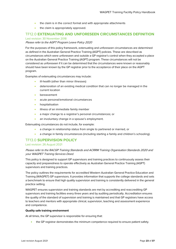- the claim is in the correct format and with appropriate attachments
- the claim is appropriately approved.

# <span id="page-22-0"></span>TF12.0 **EXTENUATING AND UNFORESEEN CIRCUMSTANCES DEFINITION** Last revision: 30 November 2018

# Please refer to the AGPT Program Leave Policy 2020

For the purposes of this policy framework, extenuating and unforeseen circumstances are determined as defined in the Australian General Practice Training (AGPT) policies. These are described as circumstances which were unforeseen and outside a GP registrar's control when they accepted a place on the Australian General Practice Training (AGPT) program. These circumstances will not be considered as unforeseen if it can be determined that the circumstances were known or reasonably should have been known by the GP registrar prior to the acceptance of their place on the AGPT program.

Examples of extenuating circumstances may include:

- ill-health (other than minor illnesses)
- deterioration of an existing medical condition that can no longer be managed in the current location
- **bereavement**
- acute personal/emotional circumstances
- hospitalisation
- illness of an immediate family member
- a major change to a registrar's personal circumstances; or
- an involuntary change in a spouse's employment.

Extenuating circumstances do not include, for example:

- a change in relationship status from single to partnered or married, or
- a change in family circumstances (including starting a family and children's schooling).

# <span id="page-22-1"></span>TF13.0 **SUPERVISION POLICY**

# Last revision: 26 August 2021

# Please refer to the RACGP Training Standards and ACRRM Training Organisation Standards 2020 and your WAGPET Training Services Deed.

This policy is designed to support GP supervisors and training practices to continuously assess their capacity and preparedness to operate effectively as Australian General Practice Training (AGPT) supervisors and training practices.

The policy outlines the requirements for accredited Western Australian General Practice Education and Training (WAGPET) GP supervisors. It provides information that supports the college standards and sets a benchmark to ensure that high quality supervision and training is consistently delivered in the general practice setting.

WAGPET ensures supervision and training standards are met by accrediting and reaccrediting GP supervisors and training facilities every three years and by auditing periodically. Accreditation ensures the quality of the standard of supervision and training is maintained and that GP registrars have access to teachers and mentors with appropriate clinical, supervision, teaching and assessment experience and competence.

# **Quality safe training environment**

At all times, the GP supervisor is responsible for ensuring that:

• the GP registrar demonstrates the minimum competence required to ensure patient safety.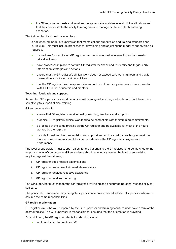• the GP registrar reguests and receives the appropriate assistance in all clinical situations and that they demonstrate the ability to recognise and manage acute and life-threatening scenarios.

The training facility should have in place:

a documented model of supervision that meets college supervision and training standards and curriculum. This must include processes for developing and adjusting the model of supervision as required.

- procedures for monitoring GP registrar progression as well as evaluating and addressing critical incidents.
- have processes in place to capture GP registrar feedback and to identify and trigger early intervention strategies and actions.
- ensure that the GP registrar's clinical work does not exceed safe working hours and that it makes allowance for education activities.
- that the GP registrar has the appropriate amount of cultural competence and has access to WAGPET cultural educators and mentors.

# **Teaching, feedback and support.**

Accredited GP supervisors should be familiar with a range of teaching methods and should use them selectively to support clinical training.

GP supervisors should:

- ensure that GP registrars receive quality teaching, feedback and support.
- organise GP registrars' clinical workload to be compatible with their training commitments.
- be located at the same practice as the GP registrar and be available for most of the hours worked by the registrar.
- provide formal teaching, supervision and support and ad hoc corridor teaching to meet the Standards requirements and take into consideration the GP registrar's progress and performance.

The level of supervision must support safety for the patient and the GP registrar and be matched to the registrar's level of competence. GP supervisors should continually assess the level of supervision required against the following:

- 1. GP registrar does not see patients alone
- 2. GP registrar has access to immediate assistance
- 3. GP registrar receives reflective assistance
- 4. GP registrar receives mentoring

The GP supervisor must monitor the GP registrar's wellbeing and encourage personal responsibility for self-care.

The principal GP supervisor may delegate supervision to an accredited additional supervisor who must assume the same responsibilities.

# **GP registrar orientation**

GP registrars must be well prepared by the GP supervisor and training facility to undertake a term at the accredited site. The GP supervisor is responsible for ensuring that the orientation is provided.

As a minimum, the GP registrar orientation should include:

an introduction to practice staff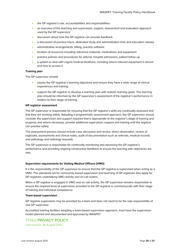- the GP registrar's role, accountabilities and responsibilities
- an overview of the teaching and supervision, support, assessment and evaluation approach used by the GP supervisor
- discussion about how the GP registrar can provide feedback
- a discussion of practice hours, dedicated study and administration time and education release
- administrative arrangements, billing, practice software
- location of resources including reference materials, medications and equipment
- practice policies and procedures for referral, hospital admissions, patient follow up
- a system to deal with urgent medical situations, including where relevant equipment is stored and how to access it

# **Training plan**

The GP supervisor should:

- assess the GP registrar's learning objectives and ensure they have a wide range of clinical experiences and training.
- support the GP registrar to develop a learning plan with realistic learning goals. The learning plan should be informed by the GP supervisor's assessment of the registrar's performance in relation to their stage of training.

# **GP registrar assessment**

The GP supervisor is responsible for ensuring that the GP registrar's skills are continually assessed and that they are working safely. Adopting a programmatic assessment approach, the GP supervisor should consider the supervision and support required that is appropriate to the registrar's stage of training and progress and where necessary, provide additional supervision, support and training until the registrar can practise safely.

The assessment process should include case discussion and review, direct observation, review of logbooks, assessments and clinical notes, audit of documentation such as referrals, medical records and pathology and radiology requests.

The GP supervisor is responsible for continually monitoring and assessing the GP registrar's performance and providing ongoing constructive feedback to ensure the learning plan objectives are met.

# **Supervision requirements for Visiting Medical Officers (VMO)**

It is the responsibility of the GP supervisor to ensure that the GP registrar is supervised when acting as a VMO. The standards set for community-based supervision and teaching of GP registrars also apply for GP registrars undertaking VMO activity and on-call rosters.

When a GP registrar is engaged in VMO and on-call activity, the GP supervisor remains responsible to ensure the required level of supervision provided to the GP registrar is commensurate with their stage of training and individual competence.

# **Team-based supervision**

GP registrar supervision may be provided by a team and does not need to be the sole responsibility of one GP supervisor.

Accredited training facilities adopting a team-based supervision approach, must have the supervision model planned and documented and approved by WAGPET.

# <span id="page-24-0"></span>TF14.0 **PRIVACY POLICY**

Last revision: 26 August 2021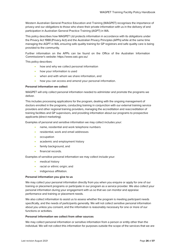Western Australian General Practice Education and Training (WAGPET) recognises the importance of privacy and our obligations to those who share their private information with us in the delivery of and participation in Australian General Practice Training (AGPT) in WA.

This policy describes how WAGPET Ltd protects information in accordance with its obligations under the Privacy Act 1988 (Privacy Act) and the Australian Privacy Principles (APPs) while at the same time managing the AGPT in WA, ensuring safe quality training for GP registrars and safe quality care is being provided to the community.

Further information on the APPs can be found on the Office of the Australian Information Commissioner's website:<https://www.oaic.gov.au/>

This policy describes:

- how and why we collect personal information
- how your information is used
- when and with whom we share information, and
- how you can access and amend your personal information.

# **Personal information we collect**

WAGPET will only collect personal information needed to administer and promote the programs we deliver.

This includes processing applications for the program, dealing with the ongoing management of doctors enrolled in the programs, conducting training in conjunction with our external training service providers and other regional training providers, managing the accreditation and reaccreditation of training facilities and GP supervisors, and providing information about our programs to prospective applicants (direct marketing).

Examples of personal and sensitive information we may collect includes your:

- name, residential and work telephone numbers
- residential, work and email addresses
- occupation
- academic and employment history
- family background, and
- financial records.

Examples of sensitive personal information we may collect include your:

- medical history
- racial or ethnic origin; and
- indigenous affiliation.

# **Personal information you give to us**

We may collect your personal information directly from you when you enquire or apply for one of our training or placement programs or participate in our program as a service provider. We also collect your personal information during your engagement with us so that we can monitor and appraise performance and training or placement needs.

We also collect information to assist us to assess whether the program is meeting participant needs specifically, and the needs of participants generally. We will not collect sensitive personal information about you unless you consent, and the information is reasonably necessary for one or more of our functions or activities.

# **Personal information we collect from other sources**

We may collect personal information or sensitive information from a person or entity other than the individual. We will not collect this information for purposes outside the scope of the services that we are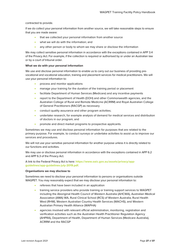# contracted to provide.

If we do collect your personal information from another source, we will take reasonable steps to ensure that you are made aware:

- that we collected your personal information from another source
- what we will do with the information; and
- any other person or body to whom we may share or disclose the information

We may collect sensitive personal information in accordance with the exceptions contained in APP 3.4 of the Privacy Act. For example, if the collection is required or authorised by or under an Australian law or by a court of tribunal order.

# **What we do with your personal information**

We use and disclose personal information to enable us to carry out our business of providing prevocational and vocational education, training and placement services for medical practitioners. We will use your personal information to:

- process and monitor applications
- manage your training for the duration of the training period or placement
- facilitate Department of Human Services (Medicare) and any incentive payments
- report to the Department of Health (DOH) and other Commonwealth agencies, and the Australian College of Rural and Remote Medicine (ACRRM) and Royal Australian College of General Practitioners (RACGP) as necessary
- conduct quality assurance and other program activities;
- undertake research, for example analysis of demand for medical services and distribution of doctors in our program; and
- promote and direct market programs to prospective applicants.

Sometimes we may use and disclose personal information for purposes that are related to the primary purpose. For example, to conduct surveys or undertake activities to assist us to improve our services and procedures.

We will not use your sensitive personal information for another purpose unless it is directly related to our functions and activities.

We may use or disclose personal information in accordance with the exceptions contained in APP 6.2 and APP 6.3 of the Privacy Act.

A link to the Federal Privacy Act is here: **[https://www.oaic.gov.au/assets/privacy/app](https://www.oaic.gov.au/assets/privacy/app-guidelines/app-guidelines-july-2019.pdf)[guidelines/app-guidelines-july-2019.pdf.](https://www.oaic.gov.au/assets/privacy/app-guidelines/app-guidelines-july-2019.pdf)**

# **Organisations we may disclose to**

Sometimes we need to disclose your personal information to persons or organisations outside WAGPET. You may reasonably expect that we may disclose your personal information to:

- referees that have been included in an application
- training service providers who provide training or training support services to WAGPET including the Aboriginal Health Council of Western Australia (AHCWA), Australian Medical Association (AMA) WA, Rural Clinical School (RCS) of Western Australia, Rural Health West (RHW), Western Australian Country Health Services (WACHS), and Western Australian Primary Health Alliance (WAPHA)
- agencies involved with relevant official administration, monitoring, registration and verification activities such as the Australian Health Practitioner Regulation Agency (AHPRA), Department of Health, Department of Human Services (Medicare Australia), ACRRM and the RACGP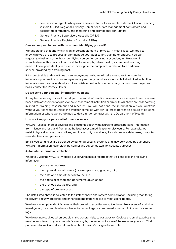- contractors or agents who provide services to us, for example, External Clinical Teaching Visitors (ECTV), Regional Advisory Committees, data management contractors and associated contractors, and marketing and promotional contractors
- General Practice Supervisors Australia (GPSA)
- General Practice Registrars Australia (GPRA).

# **Can you request to deal with us without identifying yourself?**

We understand that anonymity is an important element of privacy. In most cases, we need to know who you are to process and/or manage your application, training or enquiry. You can request to deal with us without identifying yourself or by using a pseudonym. However, in some instances this may not be possible, for example, when making a complaint, we may need to know your identity in order to investigate the complaint, in relation to a particular service provided by a training post.

If it is practicable to deal with us on an anonymous basis, we will take measures to ensure that information you provide on an anonymous or pseudonymous basis is not able to be linked with other information we may have about you. If you wish to deal with us on an anonymous or pseudonymous basis, contact th[e Privacy Officer.](mailto:privacyofficer@wagpet.com.au)

# **Do we send your personal information overseas?**

It may be necessary for us to send your personal information overseas, for example to an overseas based data assessment or questionnaire assessment institution or firm with which we are collaborating in medical training assessment and research. We will not send the information outside Australia without your consent or unless the transfer complies with APP 8 (cross-border disclosure of personal information) or where we are obliged to do so under contract with the Department of Health.

# **How we keep your personal information secure**

WAGPET uses a range of physical and electronic security measures to protect personal information from misuse and loss, and from unauthorised access, modification or disclosure. For example, we restrict physical access to our offices, employ security containers, firewalls, secure databases, computer user identifiers and passwords.

Emails you send to us are screened by our email security systems and may be viewed by authorised WAGPET information technology personnel and subcontractors for security purposes.

# **Automated information collection**

When you visit the WAGPET website our server makes a record of that visit and logs the following information:

- your server address
- the top level domain name (for example .com, .gov, .au, .uk);
- the date and time of the visit to the site
- the pages accessed and documents downloaded
- the previous site visited; and
- the type of browser used.

The data listed above is collected to facilitate website and system administration, including monitoring to prevent security breaches and enhancement of the website to meet users' needs.

We do not attempt to identify users or their browsing activities except in the unlikely event of a criminal investigation, for example where a law enforcement agency has issued a warrant to inspect our server logs.

We do not use cookies when people make general visits to our website. Cookies are small text files that may be transferred to your computer's memory by the servers of some of the websites you visit. Their purpose is to track and store information about a visitor's usage of a website.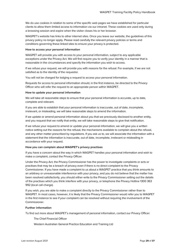We do use cookies in relation to some of the specific web pages we have established for particular clients to allow them limited access to information via our intranet. These cookies are used only during a browsing session and expire when the visitor closes his or her browser.

WAGPET's website has links to other internet sites. Once you leave our website, the guidelines of this privacy policy no longer apply. Please read carefully the relevant privacy policies or terms and conditions governing these linked sites to ensure your privacy is protected.

# **How to access your personal information**

WAGPET will provide you with access to your personal information, subject to any applicable exceptions under the Privacy Act. We will first require you to verify your identity in a manner that is reasonable in the circumstances and specify the information you wish to access.

If we refuse your request, we will provide you with reasons for the refusal. For example, if we are not satisfied as to the identity of the requestor.

You will not be charged for lodging a request to access your personal information.

Requests for access to personal information should, in the first instance, be directed to th[e Privacy](mailto:privacyofficer@wagpet.com.au)  [Officer](mailto:privacyofficer@wagpet.com.au) who will refer the request to an appropriate person within WAGPET.

# **How to update your personal information**

We will take all reasonable steps to ensure that your personal information is accurate, up to date, complete and relevant.

If you are able to establish that your personal information is inaccurate, out of date, incomplete, irrelevant, or misleading, we will take reasonable steps to amend the information.

If we update or amend personal information about you that we previously disclosed to another entity, and you request that we notify that entity, we will take reasonable steps to give that notification.

If we refuse your request to amend or update your personal information, we will give you a written notice setting out the reasons for the refusal, the mechanisms available to complain about the refusal, and any other matter prescribed by regulations. If you ask us to, we will associate the information with a statement that the information is inaccurate, out of date, incomplete, irrelevant or misleading in accordance with your request.

# **How you can complain about WAGPET's privacy practises**

If you have a concern about the way in which WAGPET handles your personal information and wish to make a complaint, contact th[e Privacy Officer.](mailto:privacyofficer@wagpet.com.au)

Under the Privacy Act, the Privacy Commissioner has the power to investigate complaints or acts or practises that may be a breach of privacy even if there is no direct complaint to the Privacy Commissioner. If you have made a complaint to us about a WAGPET practice that you think amounts to an arbitrary or unreasonable interference with your privacy, and you do not believe that the matter has been resolved satisfactorily, you should either write to the Privacy Commissioner setting out the details of the practises which you think interfere with your privacy, or telephone the Privacy Hotline 1300 363 992 (local call charge).

If you wish, you are able to make a complaint directly to the Privacy Commissioner rather than to WAGPET. In most cases, however, it is likely that the Privacy Commissioner would refer you to WAGPET in the first instance to see if your complaint can be resolved without requiring the involvement of the Commissioner.

# **Further information**

To find out more about WAGPET's management of personal information, contact ou[r Privacy Officer:](mailto:privacyofficer@wagpet.com.au)

The Chief Financial Officer

Western Australian General Practice Education and Training Ltd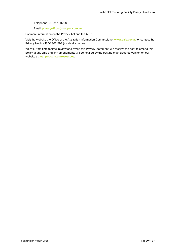Telephone: 08 9473 8200

Email: **[privacyofficer@wagpet.com.au](mailto:privacyofficer@wagpet.com.au)**

For more information on the Privacy Act and the APPs:

Visit the website the Office of the Australian Information Commissioner **[www.oaic.gov.au](http://www.oaic.gov.au/)** or contact the Privacy Hotline 1300 363 992 (local call charge).

We will, from time to time, review and revise this Privacy Statement. We reserve the right to amend this policy at any time and any amendments will be notified by the posting of an updated version on our website at: **[wagpet.com.au/resources](https://www.wagpet.com.au/resources)**.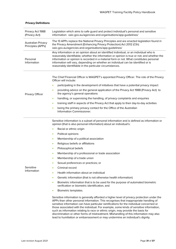| Privacy Act 1988<br>(Privacy Act)       | Legislation which aims to safe guard and protect individual's personal and sensitive<br>information: oaic.gov.au/agencies-and-organisations/app-guidelines/                                                                                                                                                                                                                                                                                                                                                                                                                                                                               |  |  |
|-----------------------------------------|-------------------------------------------------------------------------------------------------------------------------------------------------------------------------------------------------------------------------------------------------------------------------------------------------------------------------------------------------------------------------------------------------------------------------------------------------------------------------------------------------------------------------------------------------------------------------------------------------------------------------------------------|--|--|
| Australian Privacy<br>Principles (APPs) | The 13 APPs replace the National Privacy Principles and are enacted legislation found in<br>the Privacy Amendment (Enhancing Privacy Protection) Act 2012 (Cth):<br>oaic.gov.au/agencies-and-organisations/app-quidelines/                                                                                                                                                                                                                                                                                                                                                                                                                |  |  |
| Personal<br>Information                 | Any information or an opinion about an identified individual, or an individual who is<br>reasonably identifiable; whether the information or opinion is true or not; and whether the<br>information or opinion is recorded in a material form or not. What constitutes personal<br>information will vary, depending on whether an individual can be identified or is<br>reasonably identifiable in the particular circumstances.                                                                                                                                                                                                          |  |  |
|                                         | The Chief Financial Officer is WAGPET's appointed Privacy Officer. The role of the Privacy<br>Officer will include:                                                                                                                                                                                                                                                                                                                                                                                                                                                                                                                       |  |  |
|                                         | participating in the development of initiatives that have a potential privacy impact<br>$\bullet$                                                                                                                                                                                                                                                                                                                                                                                                                                                                                                                                         |  |  |
| <b>Privacy Officer</b>                  | providing advice on the general application of the Privacy Act 1988 (Privacy Act) to<br>٠<br>the agency's general operations                                                                                                                                                                                                                                                                                                                                                                                                                                                                                                              |  |  |
|                                         | handling, or supervising the handling, of privacy complaints and enquiries<br>$\bullet$                                                                                                                                                                                                                                                                                                                                                                                                                                                                                                                                                   |  |  |
|                                         | training staff in aspects of the Privacy Act that apply to their day-to-day activities<br>$\bullet$                                                                                                                                                                                                                                                                                                                                                                                                                                                                                                                                       |  |  |
|                                         | being the primary privacy contact for the Office of the Australian<br>٠<br>Information Commissioner.                                                                                                                                                                                                                                                                                                                                                                                                                                                                                                                                      |  |  |
|                                         | Sensitive information is a subset of personal information and is defined as information or<br>opinion (that is also personal information) about an individual's:                                                                                                                                                                                                                                                                                                                                                                                                                                                                          |  |  |
|                                         | Racial or ethnic origin<br>$\bullet$                                                                                                                                                                                                                                                                                                                                                                                                                                                                                                                                                                                                      |  |  |
|                                         | Political opinions<br>$\bullet$                                                                                                                                                                                                                                                                                                                                                                                                                                                                                                                                                                                                           |  |  |
|                                         | Membership of a political association<br>$\bullet$                                                                                                                                                                                                                                                                                                                                                                                                                                                                                                                                                                                        |  |  |
|                                         | Religious beliefs or affiliations<br>$\bullet$                                                                                                                                                                                                                                                                                                                                                                                                                                                                                                                                                                                            |  |  |
|                                         | Philosophical beliefs<br>$\bullet$                                                                                                                                                                                                                                                                                                                                                                                                                                                                                                                                                                                                        |  |  |
|                                         | Membership of a professional or trade association<br>۰                                                                                                                                                                                                                                                                                                                                                                                                                                                                                                                                                                                    |  |  |
|                                         | Membership of a trade union<br>٠                                                                                                                                                                                                                                                                                                                                                                                                                                                                                                                                                                                                          |  |  |
|                                         | Sexual preferences or practices; or<br>٠                                                                                                                                                                                                                                                                                                                                                                                                                                                                                                                                                                                                  |  |  |
| Sensitive                               | Criminal record                                                                                                                                                                                                                                                                                                                                                                                                                                                                                                                                                                                                                           |  |  |
| Information                             | Health information about an individual<br>٠                                                                                                                                                                                                                                                                                                                                                                                                                                                                                                                                                                                               |  |  |
|                                         | Genetic information (that is not otherwise health information)<br>٠                                                                                                                                                                                                                                                                                                                                                                                                                                                                                                                                                                       |  |  |
|                                         | Biometric information that is to be used for the purpose of automated biometric<br>٠<br>verification or biometric identification, and                                                                                                                                                                                                                                                                                                                                                                                                                                                                                                     |  |  |
|                                         | Biometric templates.<br>٠                                                                                                                                                                                                                                                                                                                                                                                                                                                                                                                                                                                                                 |  |  |
|                                         | Sensitive information is generally afforded a higher level of privacy protection under the<br>APPs than other personal information. This recognises that inappropriate handling of<br>sensitive information can have particular ramifications for the individual concerned or<br>those associated with the individual. For example, some kinds of sensitive information,<br>such as information relating to race or ethnic origin, may provide the basis for<br>discrimination or other forms of mistreatment. Mishandling of this information may also<br>lead to humiliation or embarrassment or may undermine an individual's dignity. |  |  |

# **Privacy Definitions**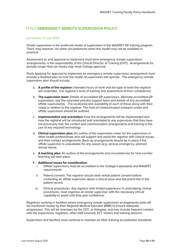# <span id="page-31-0"></span>TF15.0 **EMERGENCY REMOTE SUPERVISION POLICY**

# Last revision: 17 June 2020

Onsite supervision is the preferred model of supervision in the WAGPET GP training program. There may however, be some circumstances when this model may not be available or practical.

Assessment of, and approval to implement short-term emergency remote supervision arrangements, is the responsibility of the Clinical Director of Training (CDT). Arrangements for periods longer than six weeks may need College approval.

Posts applying for approval to implement an emergency remote supervision arrangement must provide a detailed plan on how the model of supervision will operate. The emergency remote supervision plan should include:

- a. **A profile of the registrar:** Intended hours of work and the type of work the registrar will undertake. The registrar's level of training and assessment of their competence.
- b. **The supervision team:** Details of accredited GP supervisors, alternate accredited GP supervisors, and the extended practice support team and details of any accredited offsite supervisor(s). The location(s) and availability of each of these along with their role(s) in relation to the registrar. The lines of communication between onsite and offsite supervisors should be outlined.
- c. **Implementation and orientation:** How the arrangements will be implemented and how the registrar will be introduced and orientated to any supervisors that they have not previously met, the contact and communication arrangements and training in the use of any required technology.
- d. **Clinical supervision plan:** An outline of the supervision roster for the supervisors or other health professionals who will support and assist the registrar with clinical issues, and their contact arrangements. Back-up arrangements should be in place if the offsite supervisor is unavailable for any reason (e.g. serious emergency, planned annual leave).
- e. **A teaching plan:** An outline of the arrangements and circumstances for how corridor teaching will take place.

# **f. Additional issues for consideration:**

- Offsite supervisors must be accredited to the College's standards and WAGPET requirements.
- ii. Patient consent: The registrar should seek verbal patient consent before contacting an offsite supervisor about a clinical issue and document this in the patient record.
- iii. Clinical procedures: Any registrar with limited experience in undertaking clinical procedures, must organise an onsite supervisor with the necessary clinical capability to assist until they gain confidence.

Registrars working in facilities where emergency remote supervision arrangements exist will be monitored closely by their Regional Medical Educator (RME) to ensure adequate progression. This will be overseen by the CDT, or delegate, and may include frequent contact with the supervisors, registrars, other staff involved, ECT visitors and training advisors.

Supervisors and facilities must continue to maintain all other training accreditation standards.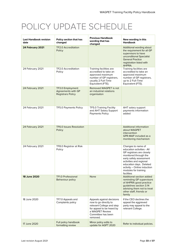# POLICY UPDATE SCHEDULE

| <b>Last Handbook revision</b><br>date | Policy section that has<br>changed                                        | <b>Previous Handbook</b><br>wording that has<br>changed                                                                                                           | New wording in this<br><b>Handbook</b>                                                                                                                                                                                                                       |
|---------------------------------------|---------------------------------------------------------------------------|-------------------------------------------------------------------------------------------------------------------------------------------------------------------|--------------------------------------------------------------------------------------------------------------------------------------------------------------------------------------------------------------------------------------------------------------|
| 24 February 2021                      | <b>TF2.0 Accreditation</b><br>Policy                                      |                                                                                                                                                                   | Additional wording about<br>the requirement for all GP<br>supervisors to have<br>unconditional Specialist<br><b>General Practice</b><br>registration listed with<br>AHPRA.                                                                                   |
| 24 February 2021                      | <b>TF2.0 Accreditation</b><br>Policy                                      | Training facilities are<br>accredited to take an<br>approved maximum<br>number of GP registrars,<br>usually 2 Full-Time<br>Equivalent (FTE).                      | Training facilities are<br>accredited to take an<br>approved maximum<br>number of GP registrars,<br>up to 2 Full-Time<br>Equivalent (FTE).                                                                                                                   |
| 24 February 2021                      | TF3.0 Employment<br><b>Agreements with GP</b><br><b>Registrars Policy</b> | Removed WAGPET is not<br>an industrial relations<br>organisaton                                                                                                   |                                                                                                                                                                                                                                                              |
| 24 February 2021                      | TF5.0 Payments Policy                                                     | TF5.0 Training Facility<br>and AHT Salary Support<br><b>Payments Policy</b>                                                                                       | AHT salary support<br>payments information<br>added                                                                                                                                                                                                          |
| 24 February 2021                      | <b>TF6.0 Issues Resolution</b><br>Policy                                  |                                                                                                                                                                   | <b>Additional information</b><br>about WAGPET<br>intervention<br>GPR-MAP included as a<br>monitoring mechanism                                                                                                                                               |
| 24 February 2021                      | TF8.0 Registrar at Risk<br>Policy                                         |                                                                                                                                                                   | Changes to name of<br>education activities - All<br>GP registrars are closely<br>monitored through the<br>early safety assessment<br>activities and regional<br>education days. Deleted<br>activity - Online induction<br>modules for training<br>facilities |
| 18 June 2020                          | <b>TF1.0 Professional</b><br>Behaviour policy                             | <b>None</b>                                                                                                                                                       | Additional section added<br>reminding GP supervisors<br>of AHPRA good practice<br>guidelines section 3.14<br>advising them not to treat<br>other staff, friends or<br>family                                                                                 |
| 18 June 2020                          | TF7.0 Appeals and<br>Complaints policy                                    | Appeals against decisions<br>now to go directly to<br>relevant College and step<br>for appeal to be heard by<br>a WAGPET Review<br>Committee has been<br>removed. | If the CEO declines the<br>appeal the aggrieved<br>party may appeal to the<br>relevant College.                                                                                                                                                              |
| 17 June 2020                          | Full policy handbook<br>formatting review                                 | Minor policy edits to<br>update for AGPT 2020                                                                                                                     | Refer to individual policies.                                                                                                                                                                                                                                |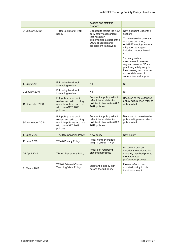|                  |                                                                                                                   | policies and staff title<br>changes                                                                                                                 |                                                                                                                                                                                                                                                                                                                                                                          |
|------------------|-------------------------------------------------------------------------------------------------------------------|-----------------------------------------------------------------------------------------------------------------------------------------------------|--------------------------------------------------------------------------------------------------------------------------------------------------------------------------------------------------------------------------------------------------------------------------------------------------------------------------------------------------------------------------|
| 31 January 2020  | TF8.0 Registrar at Risk<br>policy                                                                                 | Updated to reflect the new<br>early safety assessment<br>that has been<br>implemented as part of the<br>2020 education and<br>assessment framework. | New dot point Under the<br>section:<br>To minimise the potential<br>of issues occurring,<br>WAGPET employs several<br>mitigation strategies<br>including but not limited<br>to:<br>* an early safety<br>assessment to ensure<br>registrars new to GP are<br>practising safely early in<br>their training and have an<br>appropriate level of<br>supervision and support. |
| 15 July 2019     | Full policy handbook<br>formatting review                                                                         | Nil                                                                                                                                                 | Nil                                                                                                                                                                                                                                                                                                                                                                      |
| 7 January 2019   | Full policy handbook<br>formatting review                                                                         | Nil                                                                                                                                                 | Nil                                                                                                                                                                                                                                                                                                                                                                      |
| 14 December 2018 | Full policy handbook<br>review and edit to bring<br>multiple policies into line<br>with the AGPT 2019<br>policies | Substantial policy edits to<br>reflect the updates to<br>policies in line with AGPT<br>2019 policies.                                               | Because of the extensive<br>policy edit, please refer to<br>policy in full.                                                                                                                                                                                                                                                                                              |
| 30 November 2018 | Full policy handbook<br>review and edit to bring<br>multiple policies into line<br>with the AGPT 2019<br>policies | Substantial policy edits to<br>reflect the updates to<br>policies in line with AGPT<br>2019 policies.                                               | Because of the extensive<br>policy edit, please refer to<br>policy in full.                                                                                                                                                                                                                                                                                              |
| 13 June 2018     | <b>TF13.0 Supervision Policy</b>                                                                                  | New policy                                                                                                                                          | New policy                                                                                                                                                                                                                                                                                                                                                               |
| 13 June 2018     | TF14.0 Privacy Policy                                                                                             | Policy number change<br>from TF13.0 to TF14.0                                                                                                       |                                                                                                                                                                                                                                                                                                                                                                          |
| 26 April 2018    | <b>TF4.04 Placement Policy</b>                                                                                    | Policy edit regarding<br>placement process                                                                                                          | Placement process<br>includes the option to be<br>manually matched prior to<br>the automated<br>preferences process                                                                                                                                                                                                                                                      |
| 21 March 2018    | <b>TF10.0 External Clinical</b><br><b>Teaching Visits Policy</b>                                                  | Substantial policy edit<br>across the full policy                                                                                                   | Please refer to the<br>updated policy in this<br>handbook in full                                                                                                                                                                                                                                                                                                        |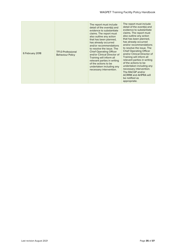| 6 February 2018 | <b>TF1.0 Professional</b><br><b>Behaviour Policy</b> | The report must include<br>detail of the event(s) and<br>evidence to substantiate<br>claims. The report must<br>also outline any action<br>that has been planned,<br>has already occurred<br>and/or recommendations<br>to resolve the issue. The<br><b>Chief Operating Officer</b><br>and/or Clinical Director of<br>Training will inform all<br>relevant parties in writing<br>of the actions to be<br>undertaken including any<br>necessary intervention. | The report must include<br>detail of the event(s) and<br>evidence to substantiate<br>claims. The report must<br>also outline any action<br>that has been planned,<br>has already occurred<br>and/or recommendations<br>to resolve the issue. The<br><b>Chief Operating Officer</b><br>and/or Clinical Director of<br>Training will inform all<br>relevant parties in writing<br>of the actions to be<br>undertaken including any<br>necessary intervention.<br>The RACGP and/or<br><b>ACRRM and AHPRA will</b><br>be notified as<br>appropriate. |
|-----------------|------------------------------------------------------|-------------------------------------------------------------------------------------------------------------------------------------------------------------------------------------------------------------------------------------------------------------------------------------------------------------------------------------------------------------------------------------------------------------------------------------------------------------|--------------------------------------------------------------------------------------------------------------------------------------------------------------------------------------------------------------------------------------------------------------------------------------------------------------------------------------------------------------------------------------------------------------------------------------------------------------------------------------------------------------------------------------------------|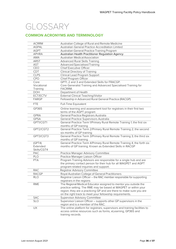# GLOSSARY

# **COMMON ACRONYMS AND TERMINOLOGY**

| <b>ACRRM</b> | Australian College of Rural and Remote Medicine                                                                                        |
|--------------|----------------------------------------------------------------------------------------------------------------------------------------|
| <b>AGPAL</b> | Australian General Practice Accreditation Limited                                                                                      |
| <b>AGPT</b>  | Australian General Practice Training Program                                                                                           |
| <b>APHRA</b> | Australian Health Practitioner Regulation Agency                                                                                       |
| <b>AMA</b>   | Australian Medical Association                                                                                                         |
| <b>ARST</b>  | <b>Advanced Rural Skills Training</b>                                                                                                  |
| <b>AST</b>   | <b>Advanced Specialised Training</b>                                                                                                   |
| CEO          | Chief Executive Officer                                                                                                                |
| <b>CDT</b>   | Clinical Directory of Training                                                                                                         |
| <b>CLPS</b>  | Clinical Lead Program Support                                                                                                          |
| CPO          | Chief Program Officer                                                                                                                  |
| Core         | GPT1, 2 and 3 and Extended Skills for FRACGP.                                                                                          |
| Vocational   | Core Generalist Training and Advanced Specialised Training for                                                                         |
| Training     | FACRRM.                                                                                                                                |
| <b>DOH</b>   | Department of Health                                                                                                                   |
| ECT/ECTV     | External Clinical Teaching/Visitor                                                                                                     |
| <b>FARGP</b> | Fellowship in Advanced Rural General Practice (RACGP)                                                                                  |
| <b>FTE</b>   | Full-Time Equivalent                                                                                                                   |
| GP365        | Online learning and assessment tool for registrars in their first two                                                                  |
|              | terms of the AGPT program                                                                                                              |
| <b>GPRA</b>  | General Practice Registrars Australia                                                                                                  |
| <b>GPSA</b>  | General Practice Supervisors Australia                                                                                                 |
| GPT1/CGT1    | General Practice Term 1/Primary Rural Remote Training 1; the first six                                                                 |
|              | months of GP training                                                                                                                  |
| GPT2/CGT2    | General Practice Term 2/Primary Rural Remote Training 2; the second                                                                    |
|              | six months of GP training                                                                                                              |
| GPT3/CGT3    | General Practice Term 3/Primary Rural Remote Training 3; the third six                                                                 |
|              | months of GP training                                                                                                                  |
| (GPT4)       | General Practice Term 4/Primary Rural Remote Training 4; the forth six                                                                 |
| Extended     | months of GP training. Known as Extended Skills in RACGP                                                                               |
| Skills/CGT4  |                                                                                                                                        |
| PAC          | Practice Manager Advisory Committee                                                                                                    |
| PLO          | Practice Manager Liaison Officer                                                                                                       |
| <b>PTA</b>   | Program Training Advisors are responsible for a single hub and are                                                                     |
|              | the primary contact person for their hub for all WAGPET and AGPT                                                                       |
|              | program-related inquiries and support.                                                                                                 |
| <b>RAC</b>   | Registrar Advisory Committee                                                                                                           |
| <b>RACGP</b> | Royal Australian College of General Practitioners                                                                                      |
| <b>RLO</b>   | Registrar Liaison Officer - the RAC member responsible for supporting                                                                  |
|              | registrars in the regions                                                                                                              |
| <b>RME</b>   | The Regional Medical Educator assigned to mentor you outside the                                                                       |
|              | practice setting. The RME may be based at WAGPET or within your<br>region; they are a practicing GP and are there to make sure you are |
|              | on the right track to meet your fellowship requirements.                                                                               |
| <b>SAC</b>   | <b>Supervisor Advisory Committee</b>                                                                                                   |
| <b>SLO</b>   | Supervisor Liaison Officer - supports other GP supervisors in the                                                                      |
|              | region and is a member of the RAC.                                                                                                     |
| UX           | The online platform for registrars, supervisors and training facilities to                                                             |
|              | access online resources such as forms, eLearning, GP365 and                                                                            |
|              | training records.                                                                                                                      |
|              |                                                                                                                                        |